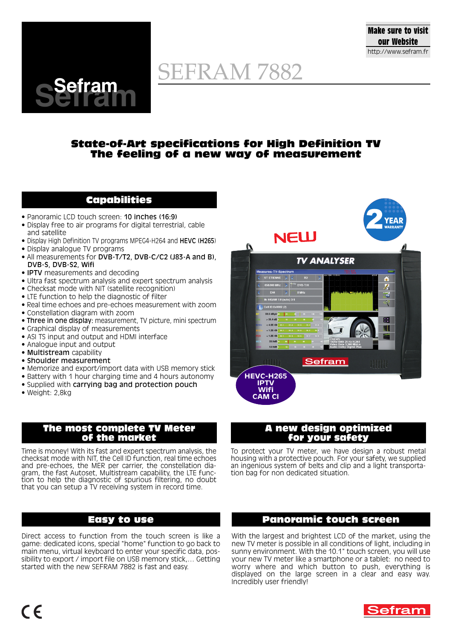

## **State-of-Art specifications for High Definition TV The feeling of a new way of measurement**

# **Capabilities**

• Panoramic LCD touch screen: 10 inches (16:9)

**Sefram Sefram**

- Display free to air programs for digital terrestrial, cable and satellite
- Display High Definition TV programs MPEG4-H264 and HEVC (H265)
- Display analogue TV programs
- All measurements for DVB-T/T2, DVB-C/C2 (J83-A and B), DVB-S, DVB-S2, Wifi
- **IPTV** measurements and decoding
- Ultra fast spectrum analysis and expert spectrum analysis
- Checksat mode with NIT (satellite recognition)
- LTE function to help the diagnostic of filter
- Real time echoes and pre-echoes measurement with zoom
- Constellation diagram with zoom
- Three in one display: measurement, TV picture, mini spectrum
- Graphical display of measurements
- ASI TS input and output and HDMI interface
- Analogue input and output
- Multistream capability
- Shoulder measurement
- Memorize and export/import data with USB memory stick
- Battery with 1 hour charging time and 4 hours autonomy
- Supplied with carrying bag and protection pouch
- Weight: 2,8kg

### **The most complete TV Meter of the market**

Time is money! With its fast and expert spectrum analysis, the checksat mode with NIT, the Cell ID function, real time echoes and pre-echoes, the MER per carrier, the constellation diagram, the fast Autoset, Multistream capability, the LTE function to help the diagnostic of spurious filtering, no doubt that you can setup a TV receiving system in record time.

# **Easy to use**

Direct access to function from the touch screen is like a game: dedicated icons, special "home" function to go back to main menu, virtual keyboard to enter your specific data, possibility to export / import file on USB memory stick,… Getting started with the new SEFRAM 7882 is fast and easy.



### **A new design optimized for your safety**

To protect your TV meter, we have design a robust metal housing with a protective pouch. For your safety, we supplied an ingenious system of belts and clip and a light transportation bag for non dedicated situation.

## **Panoramic touch screen**

With the largest and brightest LCD of the market, using the new TV meter is possible in all conditions of light, including in sunny environment. With the 10.1" touch screen, you will use your new TV meter like a smartphone or a tablet: no need to worry where and which button to push, everything is displayed on the large screen in a clear and easy way. Incredibly user friendly!



**Make sure to visit our Website** http://www.sefram.fr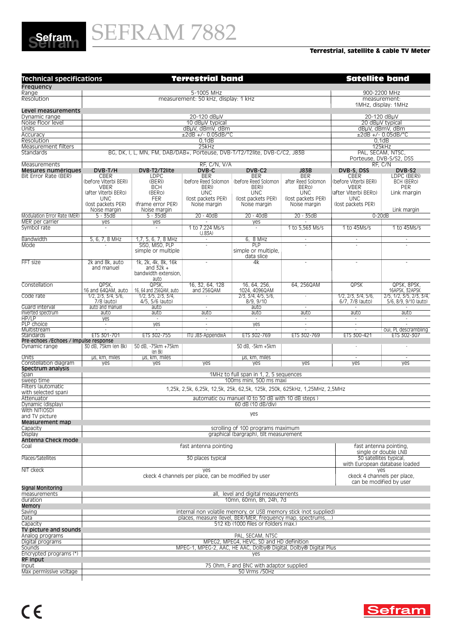

#### **Terrestrial, satellite & cable TV Meter**

| <b>Technical specifications</b>                        | <b>Terrestrial band</b>                                                      |                                                                           |                                                     |                                                                  | <b>Satellite band</b>                                |                                        |                                                         |  |
|--------------------------------------------------------|------------------------------------------------------------------------------|---------------------------------------------------------------------------|-----------------------------------------------------|------------------------------------------------------------------|------------------------------------------------------|----------------------------------------|---------------------------------------------------------|--|
| Frequency                                              |                                                                              |                                                                           |                                                     |                                                                  |                                                      |                                        |                                                         |  |
| Range                                                  | 5-1005 MHz                                                                   |                                                                           |                                                     |                                                                  |                                                      | 900-2200 MHz                           |                                                         |  |
| Resolution                                             | measurement: 50 kHz, display: 1 kHz                                          |                                                                           |                                                     |                                                                  |                                                      | measurement:<br>1MHz, display: 1MHz    |                                                         |  |
| Level measurements                                     |                                                                              |                                                                           |                                                     |                                                                  |                                                      |                                        |                                                         |  |
| Dynamic range                                          |                                                                              |                                                                           | 20-120 dBuV                                         |                                                                  |                                                      |                                        | 20-120 dBµV                                             |  |
| Noise floor level                                      |                                                                              |                                                                           | 10 dBuV typical<br>dBuV, dBmV, dBm                  |                                                                  |                                                      | 20 dBuV typical<br>dBµV, dBmV, dBm     |                                                         |  |
| Units<br>Accuracy                                      |                                                                              |                                                                           | $\pm 2$ dB +/- 0.05dB/°C                            |                                                                  |                                                      | $±2dB +/- 0.05dB/C$                    |                                                         |  |
| Resolution                                             |                                                                              |                                                                           | 0,1dB                                               |                                                                  |                                                      | 0,1dB                                  |                                                         |  |
| Measurement filters                                    |                                                                              |                                                                           | 25kHz                                               |                                                                  |                                                      |                                        | 125kHz                                                  |  |
| Standards                                              |                                                                              | BG, DK, I, L, MN, FM, DAB/DAB+, Porteuse, DVB-T/T2/T2lite, DVB-C/C2, J83B |                                                     |                                                                  |                                                      |                                        | PAL, SECAM, NTSC,<br>Porteuse, DVB-S/S2, DSS<br>RF, C/N |  |
| Measurements<br>Mesures numériques                     | DVB-T/H                                                                      | DVB-T2/T2lite                                                             | RF, C/N, V/A<br>DVB-C                               | DVB-C2                                                           | <b>J83B</b>                                          | DVB-S, DSS                             | DVB-S2                                                  |  |
| Bit Error Rate (BER)                                   | CBER                                                                         | <b>LDPC</b>                                                               | BER                                                 | BER                                                              | <b>BER</b>                                           | CBER                                   | LDPC (BERI)                                             |  |
|                                                        | (before Viterbi BERi)                                                        | (BERi)                                                                    | (before Reed Solomon                                | (before Reed Solomon                                             | after Reed Solomon                                   | (before Viterbi BERi)                  | BCH (BERO)                                              |  |
|                                                        | VBER<br>(after Viterbi BERo)                                                 | <b>BCH</b><br>(BERO)                                                      | BERI)<br><b>UNC</b>                                 | BERI)<br><b>UNC</b>                                              | BERO)<br><b>UNC</b>                                  | <b>VBER</b><br>after Viterbi BERo)     | PER<br>Link margin                                      |  |
|                                                        | <b>UNC</b>                                                                   | <b>FER</b>                                                                | (lost packets PER)                                  | (lost packets PER)                                               | (lost packets PER)                                   | <b>UNC</b>                             |                                                         |  |
|                                                        | (lost packets PER)                                                           | (frame error PER)                                                         | Noise margin                                        | Noise margin                                                     | Noise margin                                         | (lost packets PER)                     |                                                         |  |
| Modulation Error Rate (MER)                            | Noise margin<br>5 - 35dB                                                     | Noise margin<br>$5 - 35dB$                                                | 20 - 40dB                                           | 20 - 40dB                                                        | 20 - 35dB                                            | $0-20dB$                               | Link margin                                             |  |
| MER per carrier                                        | yes                                                                          | yes                                                                       | $\sim$                                              | yes                                                              | ÷.                                                   |                                        |                                                         |  |
| Symbol rate                                            | $\sim$                                                                       | ×                                                                         | 1 to 7.224 Ms/s                                     | ×                                                                | 1 to 5.563 Ms/s                                      | 1 to 45Ms/s                            | 1 to 45Ms/s                                             |  |
|                                                        |                                                                              |                                                                           | (J.83A)                                             |                                                                  |                                                      |                                        |                                                         |  |
| Bandwidth<br>Mode                                      | 5, 6, 7, 8 MHz                                                               | 1,7, 5, 6, 7, 8 MHz<br>SISO, MISO, PLP                                    | $\sim$                                              | 6, 8 MHz<br>PLP                                                  | $\overline{\phantom{a}}$                             | $\overline{\phantom{a}}$               | $\sim$                                                  |  |
|                                                        |                                                                              | simple or multiple                                                        |                                                     | simple or multiple,<br>data slice                                |                                                      |                                        |                                                         |  |
| FFT size                                               | 2k and 8k, auto                                                              | 1k, 2k, 4k, 8k, 16k                                                       | $\overline{\phantom{a}}$                            | 4k                                                               | $\overline{\phantom{a}}$                             | $\sim$                                 | $\overline{\phantom{a}}$                                |  |
|                                                        | and manuel                                                                   | and $32k +$                                                               |                                                     |                                                                  |                                                      |                                        |                                                         |  |
|                                                        |                                                                              | bandwidth extension.<br>auto                                              |                                                     |                                                                  |                                                      |                                        |                                                         |  |
| Constellation                                          | QPSK.                                                                        | QPSK.                                                                     | 16, 32, 64, 128                                     | 16, 64, 256.                                                     | 64, 256QAM                                           | <b>QPSK</b>                            | QPSK, 8PSK,                                             |  |
|                                                        | 16 and 64QAM, auto                                                           | 16, 64 and 256QAM, auto                                                   | and 256QAM                                          | 1024, 4096QAM                                                    |                                                      |                                        | <u>16APSK, 32APSK<br/>2/5, 1/2, 3/5, 2/3, 3/4,</u>      |  |
| Code rate                                              | 1/2, 2/3, 3/4, 5/6,<br>7/8 (auto)                                            | 1/2, 3/5, 2/3, 3/4,<br>4/5, 5/6 (auto)                                    |                                                     | 2/3, 3/4, 4/5, 5/6,<br>8/9, 9/10                                 | ×,                                                   | 1/2, 2/3, 3/4, 5/6,<br>6/7, 7/8 (auto) | 5/6, 8/9, 9/10 (auto)                                   |  |
| Guard interval                                         | auto and manuel                                                              | auto                                                                      | $\sim$                                              | auto                                                             | $\overline{\phantom{a}}$                             | $\overline{\phantom{a}}$               |                                                         |  |
| Inverted spectrum                                      | auto                                                                         | auto                                                                      | auto                                                | auto                                                             | auto                                                 | auto                                   | auto                                                    |  |
| HP/LP<br>PLP choice                                    | yes<br>$\sim$                                                                | yes                                                                       | $\overline{\phantom{a}}$<br>$\sim$                  | yes                                                              | $\overline{\phantom{a}}$<br>$\overline{\phantom{a}}$ | $\overline{\phantom{a}}$<br>$\sim$     | $\sim$<br>$\sim$                                        |  |
| Multistream                                            | ×                                                                            | $\sim$                                                                    | $\sim$                                              | $\sim$                                                           | ÷.                                                   | $\sim$                                 | oui, PL descrambling                                    |  |
| Standards                                              | ETS 301-701                                                                  | ETS 302-755                                                               | ITU J83-AppendixA                                   | ETS 302-769                                                      | ETS 302-769                                          | ETS 300-421                            | ETS 302-307                                             |  |
| Pre-echoes /Echoes / Impulse response<br>Dynamic range | 30 dB, 75km (en 8k)                                                          | 50 dB, -75km +75km<br>(en 8k)                                             |                                                     | 50 dB, -5km +5km                                                 |                                                      |                                        | ٠                                                       |  |
| Units<br>Constellation diagram                         | us, km, miles<br>yes                                                         | us, km, miles<br>yes                                                      | yes                                                 | us, km, miles<br>yes                                             | yes                                                  | $\sim$<br>yes                          | $\overline{\phantom{a}}$<br>yes                         |  |
| Spectrum analysis                                      |                                                                              |                                                                           |                                                     |                                                                  |                                                      |                                        |                                                         |  |
| Span                                                   |                                                                              |                                                                           |                                                     | 1MHz to full span in 1, 2, 5 sequences                           |                                                      |                                        |                                                         |  |
| sweep time<br>Filters (automatic                       | 100ms mini, 500 ms maxi                                                      |                                                                           |                                                     |                                                                  |                                                      |                                        |                                                         |  |
| with selected span)                                    | 1,25k, 2,5k, 6,25k, 12,5k, 25k, 62,5k, 125k, 250k, 625kHz, 1,25MHz, 2,5MHz   |                                                                           |                                                     |                                                                  |                                                      |                                        |                                                         |  |
| Attenuator                                             | automatic ou manuel (0 to 50 dB with 10 dB steps)                            |                                                                           |                                                     |                                                                  |                                                      |                                        |                                                         |  |
| Dynamic (display)                                      | 60 dB (10 dB/div)                                                            |                                                                           |                                                     |                                                                  |                                                      |                                        |                                                         |  |
| With NIT(OSD)<br>and TV picture                        |                                                                              |                                                                           |                                                     | yes                                                              |                                                      |                                        |                                                         |  |
| Measurement map                                        |                                                                              |                                                                           |                                                     |                                                                  |                                                      |                                        |                                                         |  |
| Capacity                                               |                                                                              |                                                                           |                                                     | scrolling of 100 programs maximum                                |                                                      |                                        |                                                         |  |
| Display<br>Antenna Check mode                          |                                                                              |                                                                           |                                                     | graphical (bargraph), tilt measurement                           |                                                      |                                        |                                                         |  |
| Goal                                                   |                                                                              |                                                                           | fast antenna pointing                               |                                                                  |                                                      |                                        | fast antenna pointing,                                  |  |
|                                                        |                                                                              |                                                                           |                                                     |                                                                  |                                                      |                                        | single or double LNB                                    |  |
| Places/Satellites                                      | 30 satellites typical.<br>30 places typical<br>with European database loaded |                                                                           |                                                     |                                                                  |                                                      |                                        |                                                         |  |
| NIT ckeck                                              |                                                                              |                                                                           | yes                                                 |                                                                  |                                                      |                                        | yes                                                     |  |
|                                                        |                                                                              |                                                                           | ckeck 4 channels per place, can be modified by user |                                                                  |                                                      |                                        | ckeck 4 channels per place,                             |  |
|                                                        |                                                                              |                                                                           |                                                     |                                                                  |                                                      |                                        | can be modified by user                                 |  |
| Signal Monitoring                                      |                                                                              |                                                                           |                                                     |                                                                  |                                                      |                                        |                                                         |  |
| measurements<br>duration                               |                                                                              |                                                                           |                                                     | all, level and digital measurements<br>10mn, 60mn, 8h, 24h, 7d   |                                                      |                                        |                                                         |  |
| Memory                                                 |                                                                              |                                                                           |                                                     |                                                                  |                                                      |                                        |                                                         |  |
| Saving                                                 |                                                                              |                                                                           |                                                     | internal non volatile memory, or USB memory stick (not supplied) |                                                      |                                        |                                                         |  |
| Data                                                   |                                                                              |                                                                           |                                                     | places, measure (level, BER/MER, frequency map, spectrums,)      |                                                      |                                        |                                                         |  |
| Capacity<br>TV picture and sounds                      |                                                                              |                                                                           |                                                     | 512 Kb (1000 files or folders max.)                              |                                                      |                                        |                                                         |  |
| Analog programs                                        |                                                                              |                                                                           |                                                     | PAL, SECAM, NTSC                                                 |                                                      |                                        |                                                         |  |
| Digital programs                                       |                                                                              |                                                                           |                                                     | MPEG2, MPEG4, HEVC, SD and HD definition                         |                                                      |                                        |                                                         |  |
| Sounds                                                 |                                                                              |                                                                           |                                                     | MPEG-1, MPEG-2, AAC, HE AAC, Dolby® Digital, Dolby® Digital Plus |                                                      |                                        |                                                         |  |
| Encrypted programs (*)                                 |                                                                              |                                                                           |                                                     | yes                                                              |                                                      |                                        |                                                         |  |
| RF input                                               |                                                                              |                                                                           |                                                     |                                                                  |                                                      |                                        |                                                         |  |
| Input<br>Max permissive voltage                        |                                                                              |                                                                           |                                                     | 75 Ohm, F and BNC with adaptor supplied<br>50 Vrms / 50Hz        |                                                      |                                        |                                                         |  |